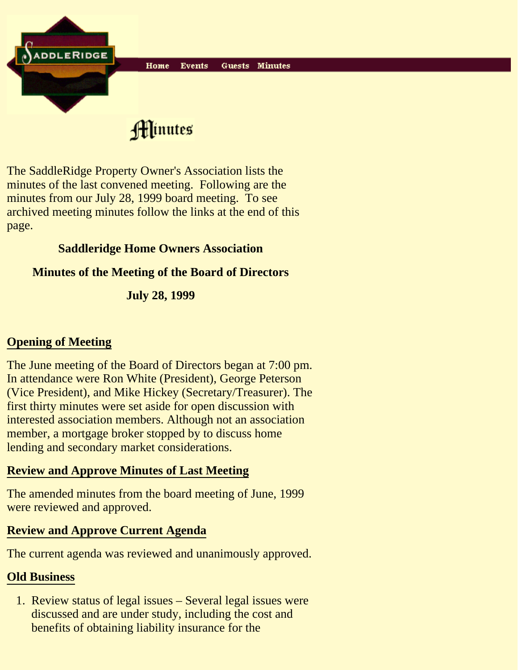

Hinutes

The SaddleRidge Property Owner's Association lists the minutes of the last convened meeting. Following are the minutes from our July 28, 1999 board meeting. To see archived meeting minutes follow the links at the end of this page.

# **Saddleridge Home Owners Association**

# **Minutes of the Meeting of the Board of Directors**

**July 28, 1999**

# **Opening of Meeting**

The June meeting of the Board of Directors began at 7:00 pm. In attendance were Ron White (President), George Peterson (Vice President), and Mike Hickey (Secretary/Treasurer). The first thirty minutes were set aside for open discussion with interested association members. Although not an association member, a mortgage broker stopped by to discuss home lending and secondary market considerations.

### **Review and Approve Minutes of Last Meeting**

The amended minutes from the board meeting of June, 1999 were reviewed and approved.

### **Review and Approve Current Agenda**

The current agenda was reviewed and unanimously approved.

### **Old Business**

1. Review status of legal issues - Several legal issues were discussed and are under study, including the cost and benefits of obtaining liability insurance for the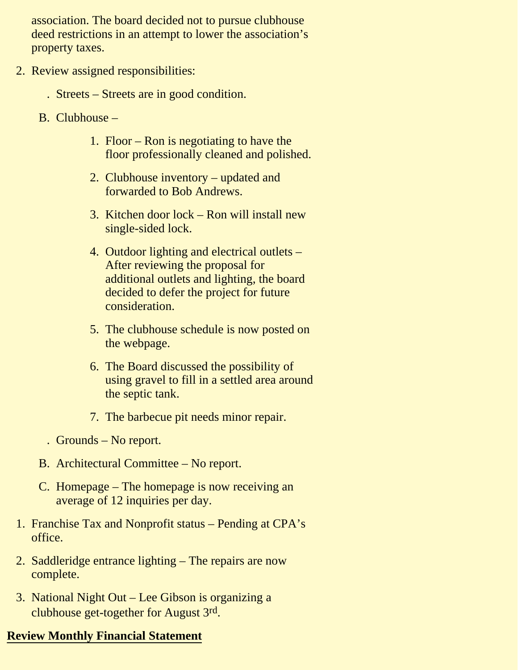association. The board decided not to pursue clubhouse deed restrictions in an attempt to lower the association's property taxes.

- 2. Review assigned responsibilities:
	- . Streets Streets are in good condition.
	- B. Clubhouse
		- 1. Floor Ron is negotiating to have the floor professionally cleaned and polished.
		- 2. Clubhouse inventory updated and forwarded to Bob Andrews.
		- 3. Kitchen door lock Ron will install new single-sided lock.
		- 4. Outdoor lighting and electrical outlets -After reviewing the proposal for additional outlets and lighting, the board decided to defer the project for future consideration.
		- 5. The clubhouse schedule is now posted on the webpage.
		- The Board discussed the possibility of 6. using gravel to fill in a settled area around the septic tank.
		- 7. The barbecue pit needs minor repair.
		- . Grounds No report.
	- B. Architectural Committee No report.
	- C. Homepage The homepage is now receiving an average of 12 inquiries per day.
- 1. Franchise Tax and Nonprofit status Pending at CPA's office.
- 2. Saddleridge entrance lighting The repairs are now complete.
- 3. National Night Out Lee Gibson is organizing a clubhouse get-together for August 3rd.

# **Review Monthly Financial Statement**